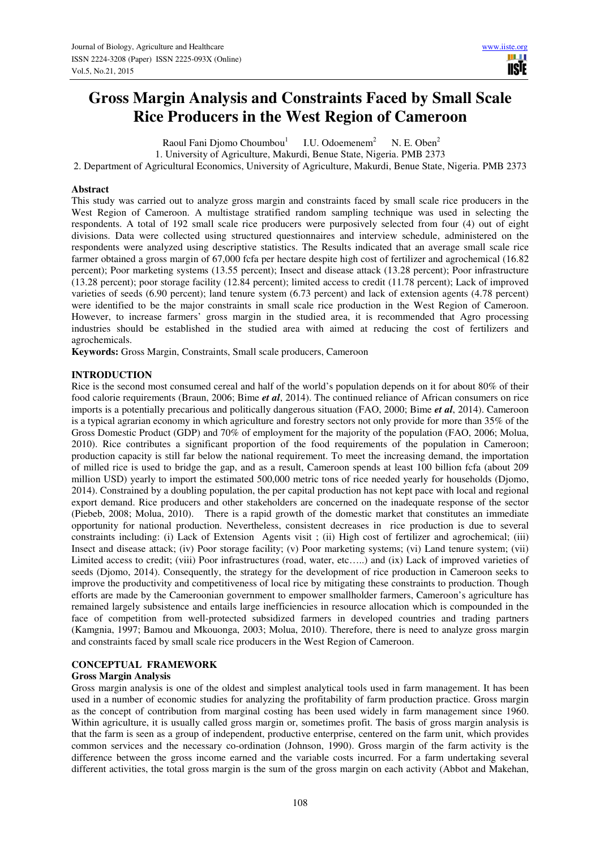# **Gross Margin Analysis and Constraints Faced by Small Scale Rice Producers in the West Region of Cameroon**

Raoul Fani Djomo Choumbou<sup>1</sup> I.U. Odoemenem<sup>2</sup> N. E. Oben<sup>2</sup>

1. University of Agriculture, Makurdi, Benue State, Nigeria. PMB 2373

2. Department of Agricultural Economics, University of Agriculture, Makurdi, Benue State, Nigeria. PMB 2373

# **Abstract**

This study was carried out to analyze gross margin and constraints faced by small scale rice producers in the West Region of Cameroon. A multistage stratified random sampling technique was used in selecting the respondents. A total of 192 small scale rice producers were purposively selected from four (4) out of eight divisions. Data were collected using structured questionnaires and interview schedule, administered on the respondents were analyzed using descriptive statistics. The Results indicated that an average small scale rice farmer obtained a gross margin of 67,000 fcfa per hectare despite high cost of fertilizer and agrochemical (16.82 percent); Poor marketing systems (13.55 percent); Insect and disease attack (13.28 percent); Poor infrastructure (13.28 percent); poor storage facility (12.84 percent); limited access to credit (11.78 percent); Lack of improved varieties of seeds (6.90 percent); land tenure system (6.73 percent) and lack of extension agents (4.78 percent) were identified to be the major constraints in small scale rice production in the West Region of Cameroon. However, to increase farmers' gross margin in the studied area, it is recommended that Agro processing industries should be established in the studied area with aimed at reducing the cost of fertilizers and agrochemicals.

**Keywords:** Gross Margin, Constraints, Small scale producers, Cameroon

# **INTRODUCTION**

Rice is the second most consumed cereal and half of the world's population depends on it for about 80% of their food calorie requirements (Braun, 2006; Bime *et al*, 2014). The continued reliance of African consumers on rice imports is a potentially precarious and politically dangerous situation (FAO, 2000; Bime *et al*, 2014). Cameroon is a typical agrarian economy in which agriculture and forestry sectors not only provide for more than 35% of the Gross Domestic Product (GDP) and 70% of employment for the majority of the population (FAO, 2006; Molua, 2010). Rice contributes a significant proportion of the food requirements of the population in Cameroon; production capacity is still far below the national requirement. To meet the increasing demand, the importation of milled rice is used to bridge the gap, and as a result, Cameroon spends at least 100 billion fcfa (about 209 million USD) yearly to import the estimated 500,000 metric tons of rice needed yearly for households (Djomo, 2014). Constrained by a doubling population, the per capital production has not kept pace with local and regional export demand. Rice producers and other stakeholders are concerned on the inadequate response of the sector (Piebeb, 2008; Molua, 2010). There is a rapid growth of the domestic market that constitutes an immediate opportunity for national production. Nevertheless, consistent decreases in rice production is due to several constraints including: (i) Lack of Extension Agents visit ; (ii) High cost of fertilizer and agrochemical; (iii) Insect and disease attack; (iv) Poor storage facility; (v) Poor marketing systems; (vi) Land tenure system; (vii) Limited access to credit; (viii) Poor infrastructures (road, water, etc…..) and (ix) Lack of improved varieties of seeds (Djomo, 2014). Consequently, the strategy for the development of rice production in Cameroon seeks to improve the productivity and competitiveness of local rice by mitigating these constraints to production. Though efforts are made by the Cameroonian government to empower smallholder farmers, Cameroon's agriculture has remained largely subsistence and entails large inefficiencies in resource allocation which is compounded in the face of competition from well-protected subsidized farmers in developed countries and trading partners (Kamgnia, 1997; Bamou and Mkouonga, 2003; Molua, 2010). Therefore, there is need to analyze gross margin and constraints faced by small scale rice producers in the West Region of Cameroon.

# **CONCEPTUAL FRAMEWORK**

# **Gross Margin Analysis**

Gross margin analysis is one of the oldest and simplest analytical tools used in farm management. It has been used in a number of economic studies for analyzing the profitability of farm production practice. Gross margin as the concept of contribution from marginal costing has been used widely in farm management since 1960. Within agriculture, it is usually called gross margin or, sometimes profit. The basis of gross margin analysis is that the farm is seen as a group of independent, productive enterprise, centered on the farm unit, which provides common services and the necessary co-ordination (Johnson, 1990). Gross margin of the farm activity is the difference between the gross income earned and the variable costs incurred. For a farm undertaking several different activities, the total gross margin is the sum of the gross margin on each activity (Abbot and Makehan,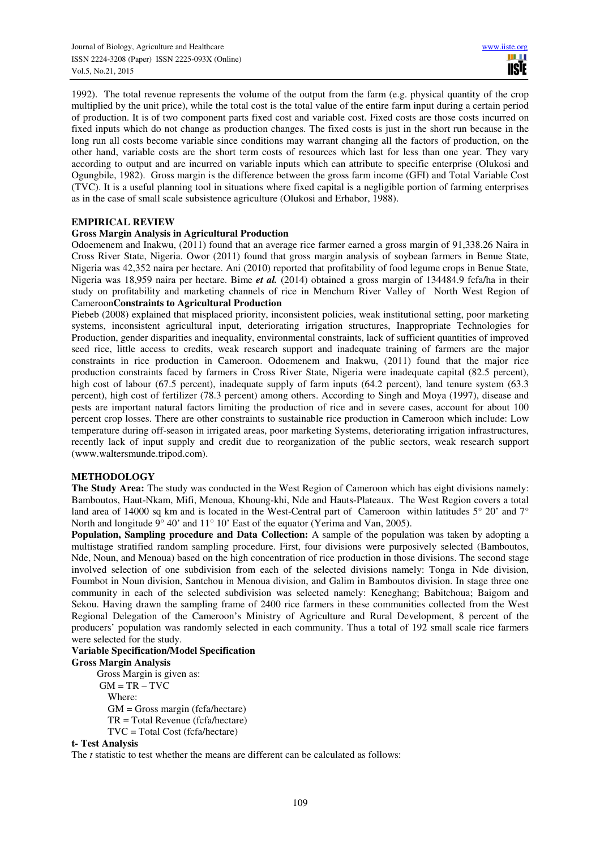1992). The total revenue represents the volume of the output from the farm (e.g. physical quantity of the crop multiplied by the unit price), while the total cost is the total value of the entire farm input during a certain period of production. It is of two component parts fixed cost and variable cost. Fixed costs are those costs incurred on fixed inputs which do not change as production changes. The fixed costs is just in the short run because in the long run all costs become variable since conditions may warrant changing all the factors of production, on the other hand, variable costs are the short term costs of resources which last for less than one year. They vary according to output and are incurred on variable inputs which can attribute to specific enterprise (Olukosi and Ogungbile, 1982). Gross margin is the difference between the gross farm income (GFI) and Total Variable Cost (TVC). It is a useful planning tool in situations where fixed capital is a negligible portion of farming enterprises as in the case of small scale subsistence agriculture (Olukosi and Erhabor, 1988).

# **EMPIRICAL REVIEW**

# **Gross Margin Analysis in Agricultural Production**

Odoemenem and Inakwu, (2011) found that an average rice farmer earned a gross margin of 91,338.26 Naira in Cross River State, Nigeria. Owor (2011) found that gross margin analysis of soybean farmers in Benue State, Nigeria was 42,352 naira per hectare. Ani (2010) reported that profitability of food legume crops in Benue State, Nigeria was 18,959 naira per hectare. Bime *et al.* (2014) obtained a gross margin of 134484.9 fcfa/ha in their study on profitability and marketing channels of rice in Menchum River Valley of North West Region of Cameroon**Constraints to Agricultural Production** 

Piebeb (2008) explained that misplaced priority, inconsistent policies, weak institutional setting, poor marketing systems, inconsistent agricultural input, deteriorating irrigation structures, Inappropriate Technologies for Production, gender disparities and inequality, environmental constraints, lack of sufficient quantities of improved seed rice, little access to credits, weak research support and inadequate training of farmers are the major constraints in rice production in Cameroon. Odoemenem and Inakwu, (2011) found that the major rice production constraints faced by farmers in Cross River State, Nigeria were inadequate capital (82.5 percent), high cost of labour (67.5 percent), inadequate supply of farm inputs (64.2 percent), land tenure system (63.3 percent), high cost of fertilizer (78.3 percent) among others. According to Singh and Moya (1997), disease and pests are important natural factors limiting the production of rice and in severe cases, account for about 100 percent crop losses. There are other constraints to sustainable rice production in Cameroon which include: Low temperature during off-season in irrigated areas, poor marketing Systems, deteriorating irrigation infrastructures, recently lack of input supply and credit due to reorganization of the public sectors, weak research support (www.waltersmunde.tripod.com).

# **METHODOLOGY**

**The Study Area:** The study was conducted in the West Region of Cameroon which has eight divisions namely: Bamboutos, Haut-Nkam, Mifi, Menoua, Khoung-khi, Nde and Hauts-Plateaux. The West Region covers a total land area of 14000 sq km and is located in the West-Central part of Cameroon within latitudes 5° 20' and 7° North and longitude 9° 40' and 11° 10' East of the equator (Yerima and Van, 2005).

**Population, Sampling procedure and Data Collection:** A sample of the population was taken by adopting a multistage stratified random sampling procedure. First, four divisions were purposively selected (Bamboutos, Nde, Noun, and Menoua) based on the high concentration of rice production in those divisions. The second stage involved selection of one subdivision from each of the selected divisions namely: Tonga in Nde division, Foumbot in Noun division, Santchou in Menoua division, and Galim in Bamboutos division. In stage three one community in each of the selected subdivision was selected namely: Keneghang; Babitchoua; Baigom and Sekou. Having drawn the sampling frame of 2400 rice farmers in these communities collected from the West Regional Delegation of the Cameroon's Ministry of Agriculture and Rural Development, 8 percent of the producers' population was randomly selected in each community. Thus a total of 192 small scale rice farmers were selected for the study.

# **Variable Specification/Model Specification**

**Gross Margin Analysis** 

Gross Margin is given as:  $GM = TR - TVC$  Where: GM = Gross margin (fcfa/hectare) TR = Total Revenue (fcfa/hectare) TVC = Total Cost (fcfa/hectare)

# **t- Test Analysis**

The *t* statistic to test whether the means are different can be calculated as follows: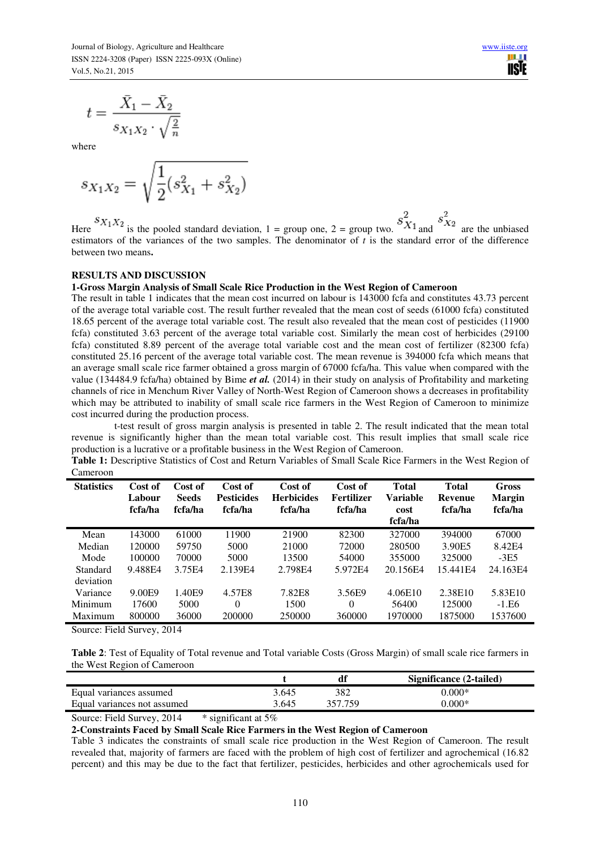$$
t = \frac{\bar{X}_1 - \bar{X}_2}{s_{X_1 X_2} \cdot \sqrt{\frac{2}{n}}}
$$

where

$$
s_{X_1X_2} = \sqrt{\frac{1}{2}(s_{X_1}^2 + s_{X_2}^2)}
$$

Here  ${}^{S}X_1X_2$  is the pooled standard deviation, 1 = group one, 2 = group two.  $S_{X_1}^2$  and  $S_{X_2}^2$  are the unbiased estimators of the variances of the two samples. The denominator of  $t$  is the standard error of the difference between two means**.** 

#### **RESULTS AND DISCUSSION**

#### **1-Gross Margin Analysis of Small Scale Rice Production in the West Region of Cameroon**

The result in table 1 indicates that the mean cost incurred on labour is 143000 fcfa and constitutes 43.73 percent of the average total variable cost. The result further revealed that the mean cost of seeds (61000 fcfa) constituted 18.65 percent of the average total variable cost. The result also revealed that the mean cost of pesticides (11900 fcfa) constituted 3.63 percent of the average total variable cost. Similarly the mean cost of herbicides (29100 fcfa) constituted 8.89 percent of the average total variable cost and the mean cost of fertilizer (82300 fcfa) constituted 25.16 percent of the average total variable cost. The mean revenue is 394000 fcfa which means that an average small scale rice farmer obtained a gross margin of 67000 fcfa/ha. This value when compared with the value (134484.9 fcfa/ha) obtained by Bime *et al.* (2014) in their study on analysis of Profitability and marketing channels of rice in Menchum River Valley of North-West Region of Cameroon shows a decreases in profitability which may be attributed to inability of small scale rice farmers in the West Region of Cameroon to minimize cost incurred during the production process.

 t-test result of gross margin analysis is presented in table 2. The result indicated that the mean total revenue is significantly higher than the mean total variable cost. This result implies that small scale rice production is a lucrative or a profitable business in the West Region of Cameroon.

**Table 1:** Descriptive Statistics of Cost and Return Variables of Small Scale Rice Farmers in the West Region of Cameroon

| <b>Statistics</b> | Cost of<br>Labour<br>fcfa/ha | Cost of<br><b>Seeds</b><br>fcfa/ha | Cost of<br><b>Pesticides</b><br>fcfa/ha | Cost of<br><b>Herbicides</b><br>fcfa/ha | Cost of<br>Fertilizer<br>fcfa/ha | <b>Total</b><br>Variable<br>cost<br>fcfa/ha | <b>Total</b><br><b>Revenue</b><br>fcfa/ha | Gross<br><b>Margin</b><br>fcfa/ha |
|-------------------|------------------------------|------------------------------------|-----------------------------------------|-----------------------------------------|----------------------------------|---------------------------------------------|-------------------------------------------|-----------------------------------|
| Mean              | 143000                       | 61000                              | 11900                                   | 21900                                   | 82300                            | 327000                                      | 394000                                    | 67000                             |
| Median            | 120000                       | 59750                              | 5000                                    | 21000                                   | 72000                            | 280500                                      | 3.90E5                                    | 8.42E4                            |
| Mode              | 100000                       | 70000                              | 5000                                    | 13500                                   | 54000                            | 355000                                      | 325000                                    | $-3E5$                            |
| Standard          | 9.488E4                      | 3.75F4                             | 2.139F4                                 | 2.798E4                                 | 5.972F4                          | 20.156E4                                    | 15.441E4                                  | 24.163E4                          |
| deviation         |                              |                                    |                                         |                                         |                                  |                                             |                                           |                                   |
| Variance          | 9.00E9                       | 1.40E9                             | 4.57E8                                  | 7.82E8                                  | 3.56E9                           | 4.06E10                                     | 2.38E10                                   | 5.83E10                           |
| Minimum           | 17600                        | 5000                               | 0                                       | 1500                                    | $\Omega$                         | 56400                                       | 125000                                    | $-1.E6$                           |
| Maximum           | 800000                       | 36000                              | 200000                                  | 250000                                  | 360000                           | 1970000                                     | 1875000                                   | 1537600                           |
|                   |                              |                                    |                                         |                                         |                                  |                                             |                                           |                                   |

Source: Field Survey, 2014

**Table 2**: Test of Equality of Total revenue and Total variable Costs (Gross Margin) of small scale rice farmers in the West Region of Cameroon

|                             |       | df      | Significance (2-tailed) |
|-----------------------------|-------|---------|-------------------------|
| Equal variances assumed     | 3.645 | 382     | $0.000*$                |
| Equal variances not assumed | 3.645 | 357 759 | $0.000*$                |

Source: Field Survey, 2014 \* significant at 5%

**2-Constraints Faced by Small Scale Rice Farmers in the West Region of Cameroon**

Table 3 indicates the constraints of small scale rice production in the West Region of Cameroon. The result revealed that, majority of farmers are faced with the problem of high cost of fertilizer and agrochemical (16.82 percent) and this may be due to the fact that fertilizer, pesticides, herbicides and other agrochemicals used for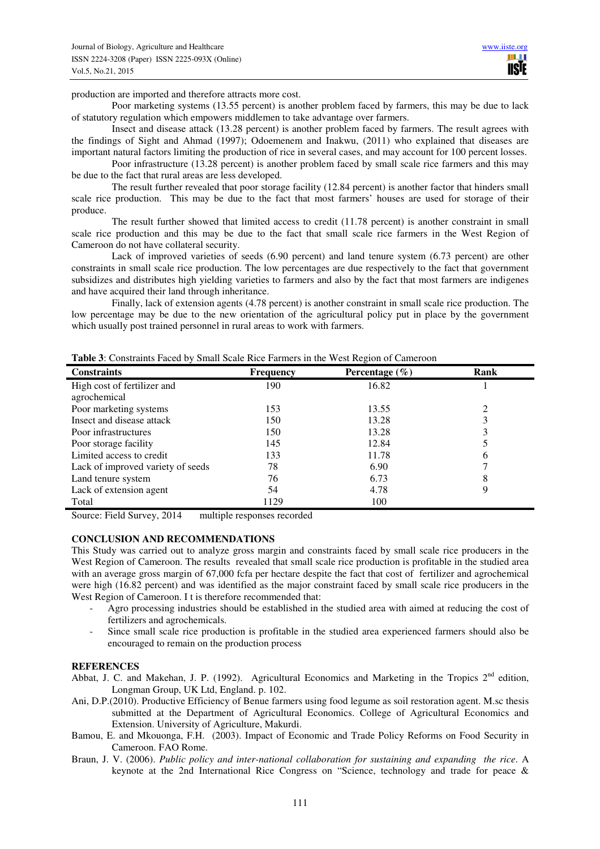production are imported and therefore attracts more cost.

Poor marketing systems (13.55 percent) is another problem faced by farmers, this may be due to lack of statutory regulation which empowers middlemen to take advantage over farmers.

Insect and disease attack (13.28 percent) is another problem faced by farmers. The result agrees with the findings of Sight and Ahmad (1997); Odoemenem and Inakwu, (2011) who explained that diseases are important natural factors limiting the production of rice in several cases, and may account for 100 percent losses.

Poor infrastructure (13.28 percent) is another problem faced by small scale rice farmers and this may be due to the fact that rural areas are less developed.

The result further revealed that poor storage facility (12.84 percent) is another factor that hinders small scale rice production. This may be due to the fact that most farmers' houses are used for storage of their produce.

The result further showed that limited access to credit (11.78 percent) is another constraint in small scale rice production and this may be due to the fact that small scale rice farmers in the West Region of Cameroon do not have collateral security.

Lack of improved varieties of seeds (6.90 percent) and land tenure system (6.73 percent) are other constraints in small scale rice production. The low percentages are due respectively to the fact that government subsidizes and distributes high yielding varieties to farmers and also by the fact that most farmers are indigenes and have acquired their land through inheritance.

Finally, lack of extension agents (4.78 percent) is another constraint in small scale rice production. The low percentage may be due to the new orientation of the agricultural policy put in place by the government which usually post trained personnel in rural areas to work with farmers.

| <b>Constraints</b>                | <b>Frequency</b> | Percentage $(\% )$ | Rank |  |
|-----------------------------------|------------------|--------------------|------|--|
| High cost of fertilizer and       | 190              | 16.82              |      |  |
| agrochemical                      |                  |                    |      |  |
| Poor marketing systems            | 153              | 13.55              |      |  |
| Insect and disease attack         | 150              | 13.28              |      |  |
| Poor infrastructures              | 150              | 13.28              |      |  |
| Poor storage facility             | 145              | 12.84              |      |  |
| Limited access to credit          | 133              | 11.78              | b    |  |
| Lack of improved variety of seeds | 78               | 6.90               |      |  |
| Land tenure system                | 76               | 6.73               | 8    |  |
| Lack of extension agent           | 54               | 4.78               |      |  |
| Total                             | 1129             | 100                |      |  |

**Table 3**: Constraints Faced by Small Scale Rice Farmers in the West Region of Cameroon

Source: Field Survey, 2014 multiple responses recorded

## **CONCLUSION AND RECOMMENDATIONS**

This Study was carried out to analyze gross margin and constraints faced by small scale rice producers in the West Region of Cameroon. The results revealed that small scale rice production is profitable in the studied area with an average gross margin of 67,000 fcfa per hectare despite the fact that cost of fertilizer and agrochemical were high (16.82 percent) and was identified as the major constraint faced by small scale rice producers in the West Region of Cameroon. I t is therefore recommended that:

- Agro processing industries should be established in the studied area with aimed at reducing the cost of fertilizers and agrochemicals.
- Since small scale rice production is profitable in the studied area experienced farmers should also be encouraged to remain on the production process

## **REFERENCES**

- Abbat, J. C. and Makehan, J. P. (1992). Agricultural Economics and Marketing in the Tropics 2<sup>nd</sup> edition, Longman Group, UK Ltd, England. p. 102.
- Ani, D.P.(2010). Productive Efficiency of Benue farmers using food legume as soil restoration agent. M.sc thesis submitted at the Department of Agricultural Economics. College of Agricultural Economics and Extension. University of Agriculture, Makurdi.
- Bamou, E. and Mkouonga, F.H. (2003). Impact of Economic and Trade Policy Reforms on Food Security in Cameroon. FAO Rome.
- Braun, J. V. (2006). *Public policy and inter-national collaboration for sustaining and expanding the rice*. A keynote at the 2nd International Rice Congress on "Science, technology and trade for peace &